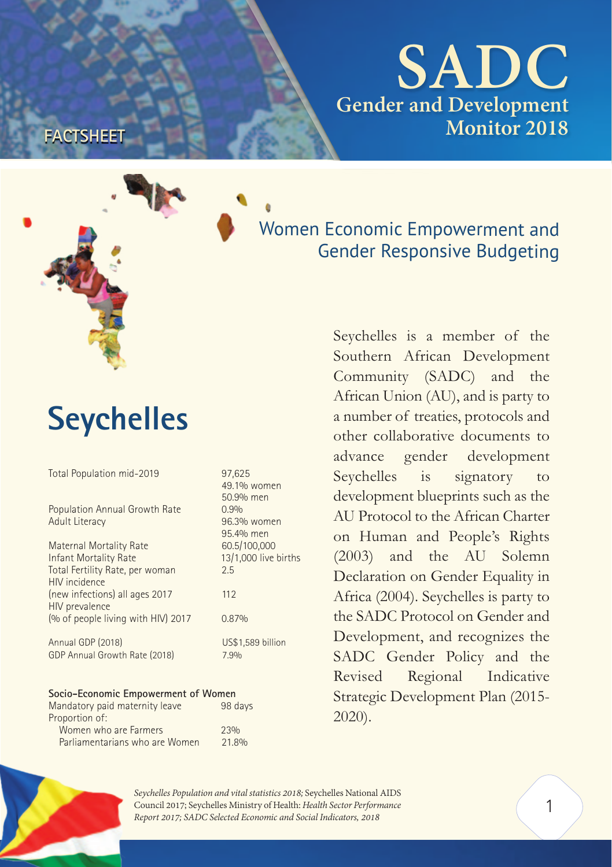**SADC Gender and Development Monitor 2018**



**FACTSHEET**

Women Economic Empowerment and Gender Responsive Budgeting

# **Seychelles**

| Total Population mid-2019                        | 97,625<br>49.1% women<br>50.9% men |  |  |  |  |
|--------------------------------------------------|------------------------------------|--|--|--|--|
| Population Annual Growth Rate<br>Adult Literacy  | 0.9%<br>96.3% women<br>95.4% men   |  |  |  |  |
| Maternal Mortality Rate                          | 60.5/100,000                       |  |  |  |  |
| Infant Mortality Rate                            | 13/1,000 live births               |  |  |  |  |
| Total Fertility Rate, per woman<br>HIV incidence | 2.5                                |  |  |  |  |
| (new infections) all ages 2017<br>HIV prevalence | 112                                |  |  |  |  |
| (% of people living with HIV) 2017               | 0.87%                              |  |  |  |  |
| Annual GDP (2018)                                | US\$1,589 billion                  |  |  |  |  |
| GDP Annual Growth Rate (2018)                    | 7.9%                               |  |  |  |  |
| Socio-Economic Empowerment of Women              |                                    |  |  |  |  |
|                                                  |                                    |  |  |  |  |

| Mandatory paid maternity leave | 98 days |
|--------------------------------|---------|
| Proportion of:                 |         |
| Women who are Farmers          | 23%     |
| Parliamentarians who are Women | 21.8%   |

Seychelles is a member of the Southern African Development Community (SADC) and the African Union (AU), and is party to a number of treaties, protocols and other collaborative documents to advance gender development Seychelles is signatory to development blueprints such as the AU Protocol to the African Charter on Human and People's Rights (2003) and the AU Solemn Declaration on Gender Equality in Africa (2004). Seychelles is party to the SADC Protocol on Gender and Development, and recognizes the SADC Gender Policy and the Revised Regional Indicative Strategic Development Plan (2015- 2020).



*Seychelles Population and vital statistics 2018;* Seychelles National AIDS Council 2017; Seychelles Ministry of Health: *Health Sector Performance Report 2017; SADC Selected Economic and Social Indicators, 2018*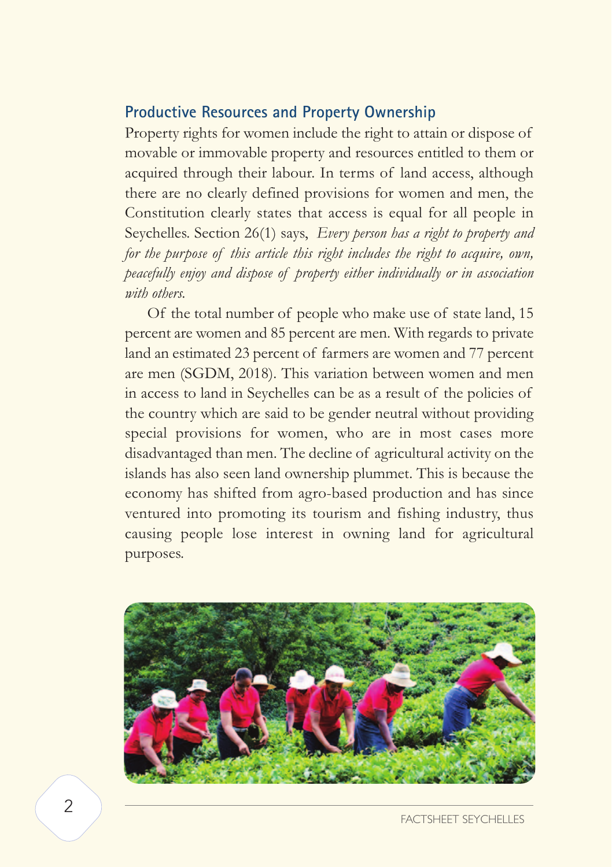## **Productive Resources and Property Ownership**

Property rights for women include the right to attain or dispose of movable or immovable property and resources entitled to them or acquired through their labour. In terms of land access, although there are no clearly defined provisions for women and men, the Constitution clearly states that access is equal for all people in Seychelles. Section 26(1) says, *Every person has a right to property and for the purpose of this article this right includes the right to acquire, own, peacefully enjoy and dispose of property either individually or in association with others.* 

 Of the total number of people who make use of state land, 15 percent are women and 85 percent are men. With regards to private land an estimated 23 percent of farmers are women and 77 percent are men (SGDM, 2018). This variation between women and men in access to land in Seychelles can be as a result of the policies of the country which are said to be gender neutral without providing special provisions for women, who are in most cases more disadvantaged than men. The decline of agricultural activity on the islands has also seen land ownership plummet. This is because the economy has shifted from agro-based production and has since ventured into promoting its tourism and fishing industry, thus causing people lose interest in owning land for agricultural purposes.

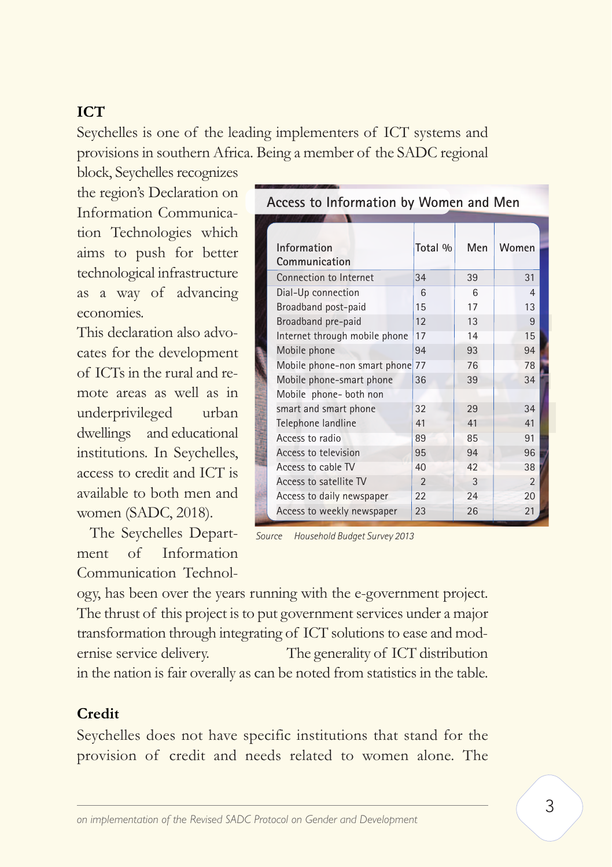# **ICT**

Seychelles is one of the leading implementers of ICT systems and provisions in southern Africa. Being a member of the SADC regional

block, Seychelles recognizes the region's Declaration on Information Communication Technologies which aims to push for better technological infrastructure as a way of advancing economies.

This declaration also advocates for the development of ICTs in the rural and remote areas as well as in underprivileged urban dwellings and educational institutions. In Seychelles, access to credit and ICT is available to both men and women (SADC, 2018).

The Seychelles Department of Information Communication Technol-

| Access to Information by Women and Men |                               |                |     |                |  |  |
|----------------------------------------|-------------------------------|----------------|-----|----------------|--|--|
|                                        |                               |                |     |                |  |  |
|                                        |                               |                |     |                |  |  |
|                                        | Information                   | Total %        | Men | Women          |  |  |
|                                        | Communication                 |                |     |                |  |  |
|                                        | Connection to Internet        | 34             | 39  | 31             |  |  |
|                                        | Dial-Up connection            | $\mathsf{6}$   | 6   | $\overline{4}$ |  |  |
|                                        | Broadband post-paid           | 15             | 17  | 13             |  |  |
|                                        | Broadband pre-paid            | 12             | 13  | 9              |  |  |
|                                        | Internet through mobile phone | 17             | 14  | 15             |  |  |
|                                        | Mobile phone                  | 94             | 93  | 94             |  |  |
|                                        | Mobile phone-non smart phone  | 77             | 76  | 78             |  |  |
|                                        | Mobile phone-smart phone      | 36             | 39  | 34             |  |  |
|                                        | Mobile phone- both non        |                |     |                |  |  |
|                                        | smart and smart phone         | 32             | 29  | 34             |  |  |
|                                        | Telephone landline            | 41             | 41  | 41             |  |  |
|                                        | Access to radio               | 89             | 85  | 91             |  |  |
|                                        | Access to television          | 95             | 94  | 96             |  |  |
|                                        | Access to cable TV            | 40             | 42  | 38             |  |  |
|                                        | Access to satellite TV        | $\mathfrak{D}$ | 3   | $\mathfrak{p}$ |  |  |
|                                        | Access to daily newspaper     | 22             | 24  | 20             |  |  |
|                                        | Access to weekly newspaper    | 23             | 26  | 21             |  |  |

*Source Household Budget Survey 2013*

ogy, has been over the years running with the e-government project. The thrust of this project is to put government services under a major transformation through integrating of ICT solutions to ease and modernise service delivery. The generality of ICT distribution in the nation is fair overally as can be noted from statistics in the table.

#### **Credit**

Seychelles does not have specific institutions that stand for the provision of credit and needs related to women alone. The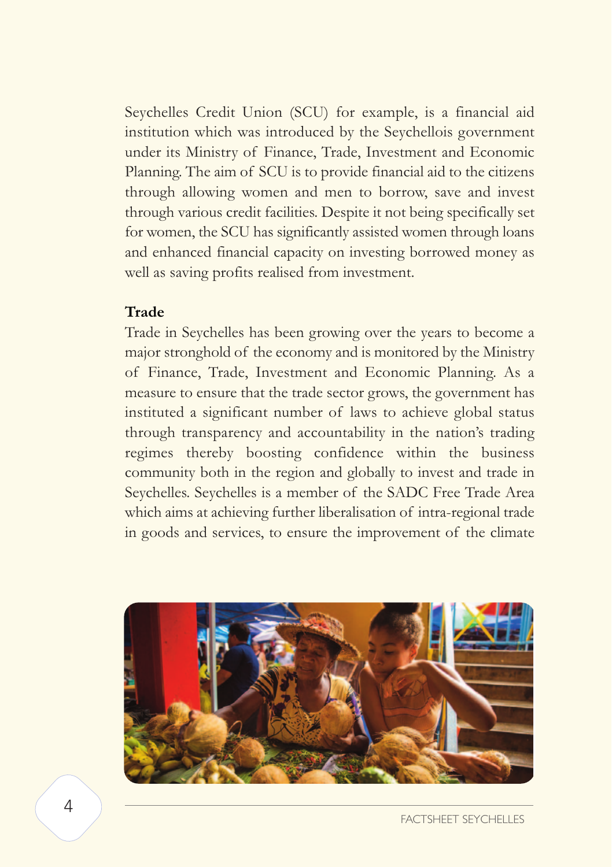Seychelles Credit Union (SCU) for example, is a financial aid institution which was introduced by the Seychellois government under its Ministry of Finance, Trade, Investment and Economic Planning. The aim of SCU is to provide financial aid to the citizens through allowing women and men to borrow, save and invest through various credit facilities. Despite it not being specifically set for women, the SCU has significantly assisted women through loans and enhanced financial capacity on investing borrowed money as well as saving profits realised from investment.

#### **Trade**

Trade in Seychelles has been growing over the years to become a major stronghold of the economy and is monitored by the Ministry of Finance, Trade, Investment and Economic Planning. As a measure to ensure that the trade sector grows, the government has instituted a significant number of laws to achieve global status through transparency and accountability in the nation's trading regimes thereby boosting confidence within the business community both in the region and globally to invest and trade in Seychelles. Seychelles is a member of the SADC Free Trade Area which aims at achieving further liberalisation of intra-regional trade in goods and services, to ensure the improvement of the climate

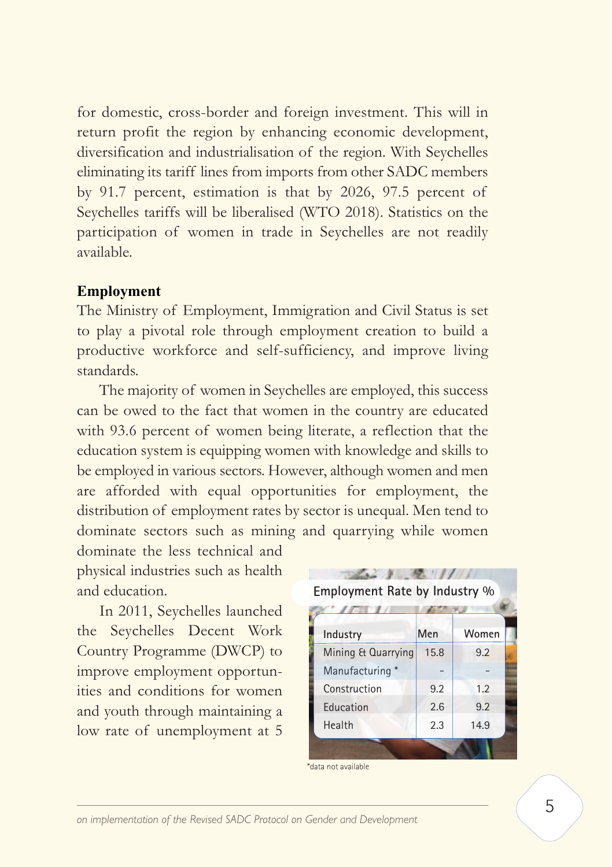for domestic, cross-border and foreign investment. This will in return profit the region by enhancing economic development, diversification and industrialisation of the region. With Seychelles eliminating its tariff lines from imports from other SADC members by 91.7 percent, estimation is that by 2026, 97.5 percent of Seychelles tariffs will be liberalised (WTO 2018). Statistics on the participation of women in trade in Seychelles are not readily available.

#### **Employment**

The Ministry of Employment, Immigration and Civil Status is set to play a pivotal role through employment creation to build a productive workforce and self-sufficiency, and improve living standards.

 The majority of women in Seychelles are employed, this success can be owed to the fact that women in the country are educated with 93.6 percent of women being literate, a reflection that the education system is equipping women with knowledge and skills to be employed in various sectors. However, although women and men are afforded with equal opportunities for employment, the distribution of employment rates by sector is unequal. Men tend to dominate sectors such as mining and quarrying while women

dominate the less technical and physical industries such as health and education.

 In 2011, Seychelles launched the Seychelles Decent Work Country Programme (DWCP) to improve employment opportunities and conditions for women and youth through maintaining a low rate of unemployment at 5

| Employment Rate by Industry % |      |       |  |  |  |
|-------------------------------|------|-------|--|--|--|
|                               |      |       |  |  |  |
| Industry                      | Men  | Women |  |  |  |
| Mining & Quarrying            | 15.8 | 9.2   |  |  |  |
| Manufacturing*                |      |       |  |  |  |
| Construction                  | 9.2  | 1.2   |  |  |  |
| Education                     | 2.6  | 9.2   |  |  |  |
| Health                        | 2.3  | 14.9  |  |  |  |
|                               |      |       |  |  |  |

\*data not available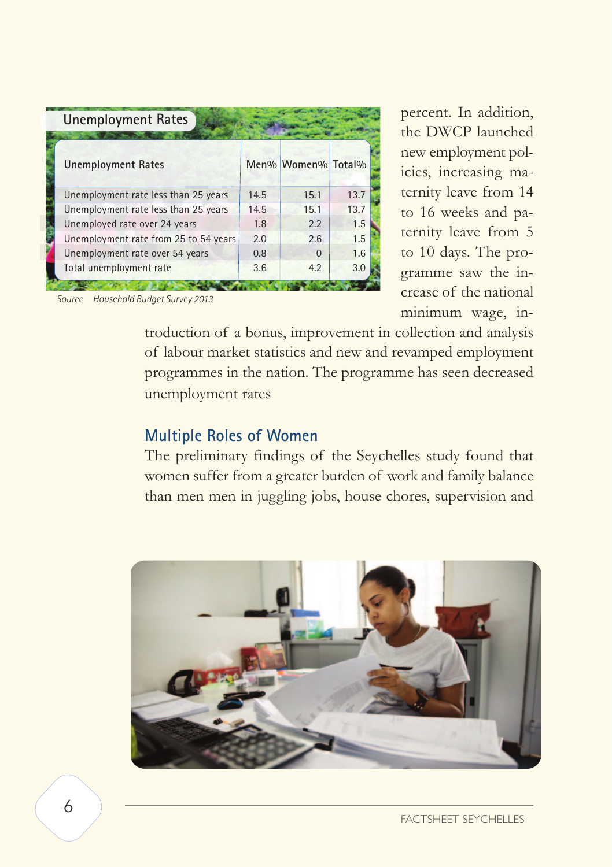| <b>Unemployment Rates</b>              |      |                    |      |  |
|----------------------------------------|------|--------------------|------|--|
| <b>Unemployment Rates</b>              |      | Men% Women% Total% |      |  |
| Unemployment rate less than 25 years   | 14.5 | 15.1               | 13.7 |  |
| Unemployment rate less than 25 years   | 14.5 | 15.1               | 13.7 |  |
| Unemployed rate over 24 years          | 1.8  | 2.2                | 1.5  |  |
| Unemployment rate from 25 to 54 years  | 2.0  | 2.6                | 1.5  |  |
| Unemployment rate over 54 years        | 0.8  | $\Omega$           | 1.6  |  |
| Total unemployment rate                | 3.6  | 4.2                | 3.0  |  |
|                                        |      |                    |      |  |
| Household Budget Survey 2013<br>Source |      |                    |      |  |

percent. In addition, the DWCP launched new employment policies, increasing maternity leave from 14 to 16 weeks and paternity leave from 5 to 10 days. The programme saw the increase of the national minimum wage, in-

troduction of a bonus, improvement in collection and analysis of labour market statistics and new and revamped employment programmes in the nation. The programme has seen decreased unemployment rates

# **Multiple Roles of Women**

The preliminary findings of the Seychelles study found that women suffer from a greater burden of work and family balance than men men in juggling jobs, house chores, supervision and

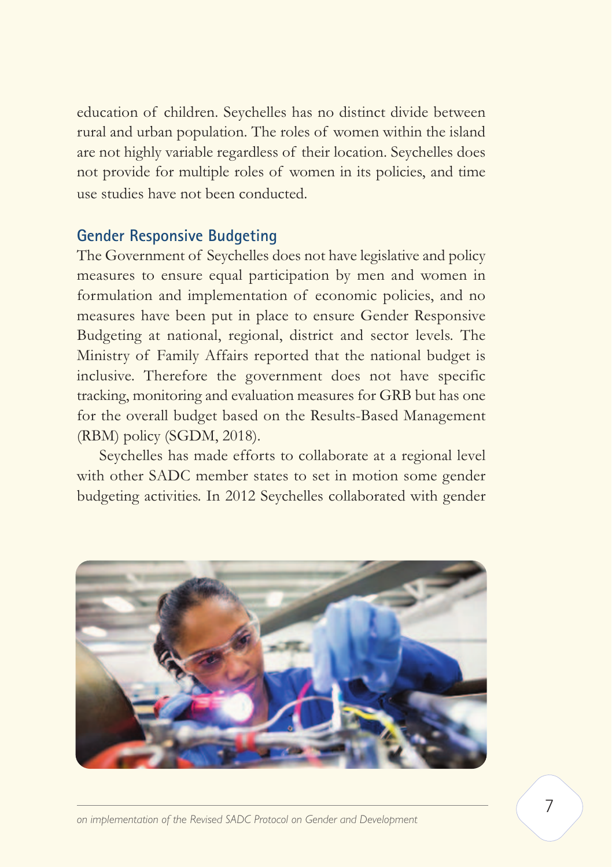education of children. Seychelles has no distinct divide between rural and urban population. The roles of women within the island are not highly variable regardless of their location. Seychelles does not provide for multiple roles of women in its policies, and time use studies have not been conducted.

## **Gender Responsive Budgeting**

The Government of Seychelles does not have legislative and policy measures to ensure equal participation by men and women in formulation and implementation of economic policies, and no measures have been put in place to ensure Gender Responsive Budgeting at national, regional, district and sector levels. The Ministry of Family Affairs reported that the national budget is inclusive. Therefore the government does not have specific tracking, monitoring and evaluation measures for GRB but has one for the overall budget based on the Results-Based Management (RBM) policy (SGDM, 2018).

 Seychelles has made efforts to collaborate at a regional level with other SADC member states to set in motion some gender budgeting activities. In 2012 Seychelles collaborated with gender